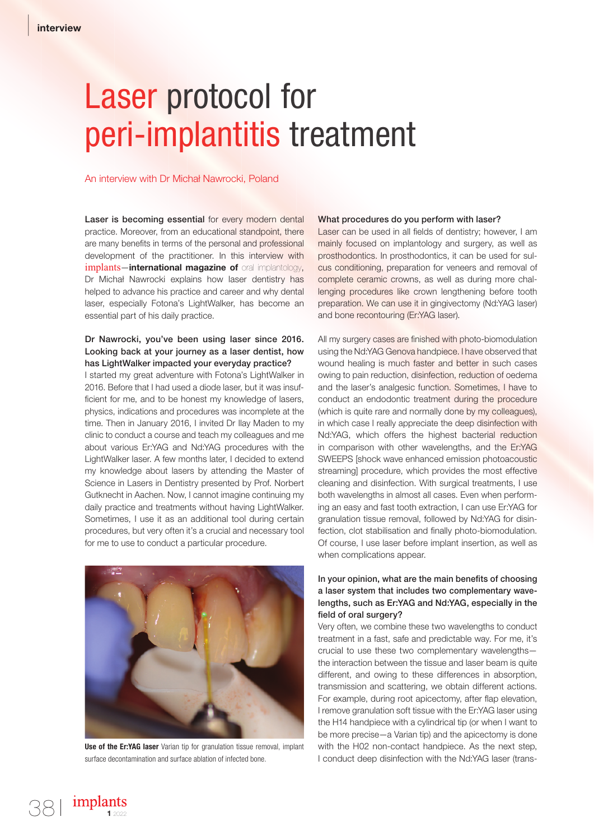# Laser protocol for peri-implantitis treatment

#### An interview with Dr Michał Nawrocki, Poland

Laser is becoming essential for every modern dental practice. Moreover, from an educational standpoint, there are many benefits in terms of the personal and professional development of the practitioner. In this interview with implants—international magazine of oral implantology, Dr Michał Nawrocki explains how laser dentistry has helped to advance his practice and career and why dental laser, especially Fotona's LightWalker, has become an essential part of his daily practice.

#### Dr Nawrocki, you've been using laser since 2016. Looking back at your journey as a laser dentist, how has LightWalker impacted your everyday practice?

I started my great adventure with Fotona's LightWalker in 2016. Before that I had used a diode laser, but it was insuf ficient for me, and to be honest my knowledge of lasers, physics, indications and procedures was incomplete at the time. Then in January 2016, I invited Dr Ilay Maden to my clinic to conduct a course and teach my colleagues and me about various Er:YAG and Nd:YAG procedures with the LightWalker laser. A few months later, I decided to extend my knowledge about lasers by attending the Master of Science in Lasers in Dentistry presented by Prof. Norbert Gutknecht in Aachen. Now, I cannot imagine continuing my daily practice and treatments without having LightWalker. Sometimes, I use it as an additional tool during certain procedures, but very often it's a crucial and necessary tool for me to use to conduct a particular procedure.



Use of the Er:YAG laser Varian tip for granulation tissue removal, implant surface decontamination and surface ablation of infected bone.

#### What procedures do you perform with laser?

Laser can be used in all fields of dentistry; however, I am mainly focused on implantology and surgery, as well as prosthodontics. In prosthodontics, it can be used for sulcus conditioning, preparation for veneers and removal of complete ceramic crowns, as well as during more challenging procedures like crown lengthening before tooth preparation. We can use it in gingivectomy (Nd:YAG laser) and bone recontouring (Er:YAG laser).

All my surgery cases are finished with photo-biomodulation using the Nd:YAG Genova handpiece. I have observed that wound healing is much faster and better in such cases owing to pain reduction, disinfection, reduction of oedema and the laser's analgesic function. Sometimes, I have to conduct an endodontic treatment during the procedure (which is quite rare and normally done by my colleagues), in which case I really appreciate the deep disinfection with Nd:YAG, which offers the highest bacterial reduction in comparison with other wavelengths, and the Er:YAG SWEEPS [shock wave enhanced emission photoacoustic streaming] procedure, which provides the most effective cleaning and disinfection. With surgical treatments, I use both wavelengths in almost all cases. Even when performing an easy and fast tooth extraction, I can use Er:YAG for granulation tissue removal, followed by Nd:YAG for disinfection, clot stabilisation and finally photo-biomodulation. Of course, I use laser before implant insertion, as well as when complications appear.

#### In your opinion, what are the main benefits of choosing a laser system that includes two complementary wavelengths, such as Er:YAG and Nd:YAG, especially in the field of oral surgery?

Very often, we combine these two wavelengths to conduct treatment in a fast, safe and predictable way. For me, it's crucial to use these two complementary wavelengths the interaction between the tissue and laser beam is quite different, and owing to these differences in absorption, transmission and scattering, we obtain different actions. For example, during root apicectomy, after flap elevation, I remove granulation soft tissue with the Er:YAG laser using the H14 handpiece with a cylindrical tip (or when I want to be more precise—a Varian tip) and the apicectomy is done with the H02 non-contact handpiece. As the next step, I conduct deep disinfection with the Nd:YAG laser (trans-

implants